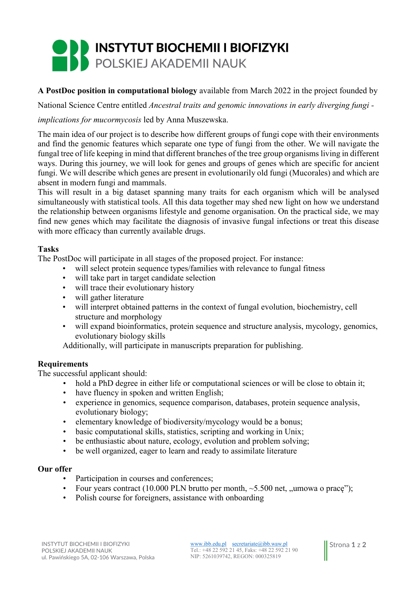# **INSTYTUT BIOCHEMII I BIOFIZYKI** POLSKIEJ AKADEMII NAUK

## A PostDoc position in computational biology available from March 2022 in the project founded by

National Science Centre entitled Ancestral traits and genomic innovations in early diverging fungi -

### implications for mucormycosis led by Anna Muszewska.

The main idea of our project is to describe how different groups of fungi cope with their environments and find the genomic features which separate one type of fungi from the other. We will navigate the fungal tree of life keeping in mind that different branches of the tree group organisms living in different ways. During this journey, we will look for genes and groups of genes which are specific for ancient fungi. We will describe which genes are present in evolutionarily old fungi (Mucorales) and which are absent in modern fungi and mammals.

This will result in a big dataset spanning many traits for each organism which will be analysed simultaneously with statistical tools. All this data together may shed new light on how we understand the relationship between organisms lifestyle and genome organisation. On the practical side, we may find new genes which may facilitate the diagnosis of invasive fungal infections or treat this disease with more efficacy than currently available drugs.

### Tasks

The PostDoc will participate in all stages of the proposed project. For instance:

- will select protein sequence types/families with relevance to fungal fitness
- will take part in target candidate selection
- will trace their evolutionary history
- will gather literature
- will interpret obtained patterns in the context of fungal evolution, biochemistry, cell structure and morphology
- will expand bioinformatics, protein sequence and structure analysis, mycology, genomics, evolutionary biology skills

Additionally, will participate in manuscripts preparation for publishing.

### Requirements

The successful applicant should:

- hold a PhD degree in either life or computational sciences or will be close to obtain it;
- have fluency in spoken and written English;
- experience in genomics, sequence comparison, databases, protein sequence analysis, evolutionary biology;
- elementary knowledge of biodiversity/mycology would be a bonus;
- basic computational skills, statistics, scripting and working in Unix;
- be enthusiastic about nature, ecology, evolution and problem solving;
- be well organized, eager to learn and ready to assimilate literature

#### Our offer

- Participation in courses and conferences;
- Four years contract (10.000 PLN brutto per month,  $\sim$  5.500 net, "umowa o prace");
- Polish course for foreigners, assistance with onboarding